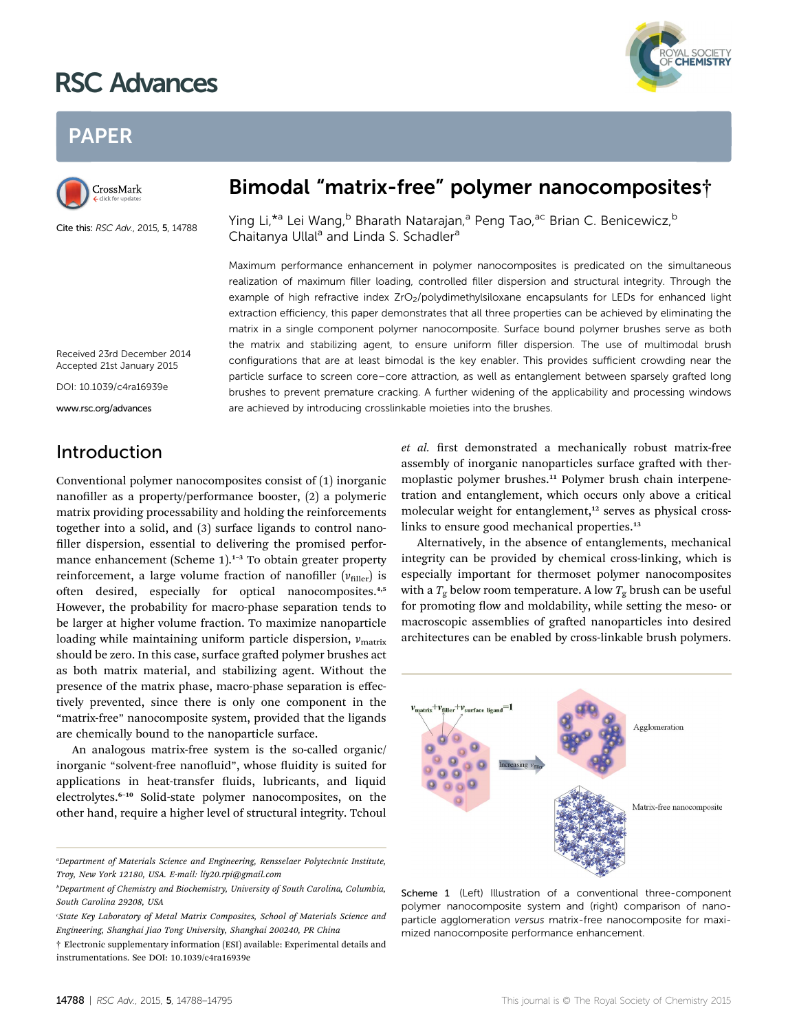# RSC Advances



# PAPER



Cite this: RSC Adv., 2015, 5, 14788

# Bimodal "matrix-free" polymer nanocomposites†

Ying Li,<sup>\*a</sup> Lei Wang,<sup>b</sup> Bharath Natarajan,<sup>a</sup> Peng Tao,<sup>ac</sup> Brian C. Benicewicz,<sup>b</sup> Chaitanya Ullal<sup>a</sup> and Linda S. Schadler<sup>a</sup>

Maximum performance enhancement in polymer nanocomposites is predicated on the simultaneous realization of maximum filler loading, controlled filler dispersion and structural integrity. Through the example of high refractive index ZrO<sub>2</sub>/polydimethylsiloxane encapsulants for LEDs for enhanced light extraction efficiency, this paper demonstrates that all three properties can be achieved by eliminating the matrix in a single component polymer nanocomposite. Surface bound polymer brushes serve as both the matrix and stabilizing agent, to ensure uniform filler dispersion. The use of multimodal brush configurations that are at least bimodal is the key enabler. This provides sufficient crowding near the particle surface to screen core–core attraction, as well as entanglement between sparsely grafted long brushes to prevent premature cracking. A further widening of the applicability and processing windows are achieved by introducing crosslinkable moieties into the brushes.

Received 23rd December 2014 Accepted 21st January 2015

DOI: 10.1039/c4ra16939e www.rsc.org/advances

Introduction

Conventional polymer nanocomposites consist of (1) inorganic nanofiller as a property/performance booster,  $(2)$  a polymeric matrix providing processability and holding the reinforcements together into a solid, and (3) surface ligands to control nano filler dispersion, essential to delivering the promised performance enhancement (Scheme  $1$ ).<sup>1-3</sup> To obtain greater property reinforcement, a large volume fraction of nanofiller  $(v_{\text{filter}})$  is often desired, especially for optical nanocomposites.<sup>4,5</sup> However, the probability for macro-phase separation tends to be larger at higher volume fraction. To maximize nanoparticle loading while maintaining uniform particle dispersion,  $v_{\text{matrix}}$ should be zero. In this case, surface grafted polymer brushes act as both matrix material, and stabilizing agent. Without the presence of the matrix phase, macro-phase separation is effectively prevented, since there is only one component in the "matrix-free" nanocomposite system, provided that the ligands are chemically bound to the nanoparticle surface.

An analogous matrix-free system is the so-called organic/ inorganic "solvent-free nanofluid", whose fluidity is suited for applications in heat-transfer fluids, lubricants, and liquid electrolytes.<sup>6</sup>–<sup>10</sup> Solid-state polymer nanocomposites, on the other hand, require a higher level of structural integrity. Tchoul

et al. first demonstrated a mechanically robust matrix-free assembly of inorganic nanoparticles surface grafted with thermoplastic polymer brushes.<sup>11</sup> Polymer brush chain interpenetration and entanglement, which occurs only above a critical molecular weight for entanglement,<sup>12</sup> serves as physical crosslinks to ensure good mechanical properties.<sup>13</sup>

Alternatively, in the absence of entanglements, mechanical integrity can be provided by chemical cross-linking, which is especially important for thermoset polymer nanocomposites with a  $T_g$  below room temperature. A low  $T_g$  brush can be useful for promoting flow and moldability, while setting the meso- or macroscopic assemblies of grafted nanoparticles into desired architectures can be enabled by cross-linkable brush polymers.



Scheme 1 (Left) Illustration of a conventional three-component polymer nanocomposite system and (right) comparison of nanoparticle agglomeration versus matrix-free nanocomposite for maximized nanocomposite performance enhancement.

a Department of Materials Science and Engineering, Rensselaer Polytechnic Institute, Troy, New York 12180, USA. E-mail: liy20.rpi@gmail.com

b Department of Chemistry and Biochemistry, University of South Carolina, Columbia, South Carolina 29208, USA

<sup>&#</sup>x27;State Key Laboratory of Metal Matrix Composites, School of Materials Science and Engineering, Shanghai Jiao Tong University, Shanghai 200240, PR China

<sup>†</sup> Electronic supplementary information (ESI) available: Experimental details and instrumentations. See DOI: 10.1039/c4ra16939e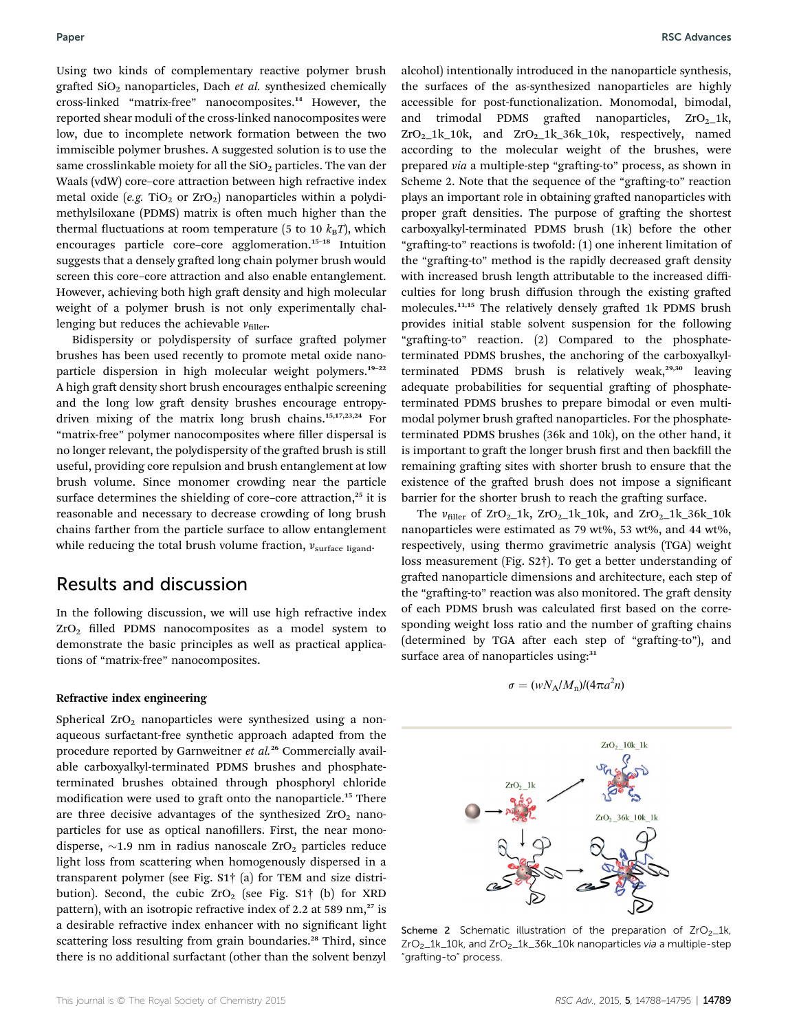Using two kinds of complementary reactive polymer brush grafted  $SiO<sub>2</sub>$  nanoparticles, Dach et al. synthesized chemically cross-linked "matrix-free" nanocomposites.<sup>14</sup> However, the reported shear moduli of the cross-linked nanocomposites were low, due to incomplete network formation between the two immiscible polymer brushes. A suggested solution is to use the same crosslinkable moiety for all the  $SiO<sub>2</sub>$  particles. The van der Waals (vdW) core–core attraction between high refractive index metal oxide (e.g. TiO<sub>2</sub> or ZrO<sub>2</sub>) nanoparticles within a polydimethylsiloxane (PDMS) matrix is often much higher than the thermal fluctuations at room temperature (5 to 10  $k_BT$ ), which encourages particle core–core agglomeration.<sup>15</sup>–<sup>18</sup> Intuition suggests that a densely grafted long chain polymer brush would screen this core–core attraction and also enable entanglement. However, achieving both high graft density and high molecular weight of a polymer brush is not only experimentally challenging but reduces the achievable  $v_{\text{filter}}$ .

Bidispersity or polydispersity of surface grafted polymer brushes has been used recently to promote metal oxide nanoparticle dispersion in high molecular weight polymers.<sup>19</sup>–<sup>22</sup> A high graft density short brush encourages enthalpic screening and the long low graft density brushes encourage entropydriven mixing of the matrix long brush chains.15,17,23,24 For "matrix-free" polymer nanocomposites where filler dispersal is no longer relevant, the polydispersity of the grafted brush is still useful, providing core repulsion and brush entanglement at low brush volume. Since monomer crowding near the particle surface determines the shielding of core–core attraction, $25$  it is reasonable and necessary to decrease crowding of long brush chains farther from the particle surface to allow entanglement while reducing the total brush volume fraction,  $v_{\text{surface ligand}}$ .

# Results and discussion

In the following discussion, we will use high refractive index  $ZrO<sub>2</sub>$  filled PDMS nanocomposites as a model system to demonstrate the basic principles as well as practical applications of "matrix-free" nanocomposites.

#### Refractive index engineering

Spherical  $ZrO<sub>2</sub>$  nanoparticles were synthesized using a nonaqueous surfactant-free synthetic approach adapted from the procedure reported by Garnweitner et al.<sup>26</sup> Commercially available carboxyalkyl-terminated PDMS brushes and phosphateterminated brushes obtained through phosphoryl chloride modification were used to graft onto the nanoparticle.<sup>15</sup> There are three decisive advantages of the synthesized  $ZrO<sub>2</sub>$  nanoparticles for use as optical nanofillers. First, the near monodisperse,  $\sim$ 1.9 nm in radius nanoscale ZrO<sub>2</sub> particles reduce light loss from scattering when homogenously dispersed in a transparent polymer (see Fig. S1† (a) for TEM and size distribution). Second, the cubic  $ZrO<sub>2</sub>$  (see Fig. S1<sup>†</sup> (b) for XRD pattern), with an isotropic refractive index of 2.2 at 589 nm,<sup>27</sup> is a desirable refractive index enhancer with no signicant light scattering loss resulting from grain boundaries.<sup>28</sup> Third, since there is no additional surfactant (other than the solvent benzyl alcohol) intentionally introduced in the nanoparticle synthesis, the surfaces of the as-synthesized nanoparticles are highly accessible for post-functionalization. Monomodal, bimodal, and trimodal PDMS grafted nanoparticles,  $ZrO<sub>2</sub>1k$ ,  $ZrO<sub>2</sub>1k_10k$ , and  $ZrO<sub>2</sub>1k_36k_10k$ , respectively, named according to the molecular weight of the brushes, were prepared via a multiple-step "grafting-to" process, as shown in Scheme 2. Note that the sequence of the "grafting-to" reaction plays an important role in obtaining grafted nanoparticles with proper graft densities. The purpose of grafting the shortest carboxyalkyl-terminated PDMS brush (1k) before the other "grafting-to" reactions is twofold: (1) one inherent limitation of the "grafting-to" method is the rapidly decreased graft density with increased brush length attributable to the increased difficulties for long brush diffusion through the existing grafted molecules.<sup>11,15</sup> The relatively densely grafted 1k PDMS brush provides initial stable solvent suspension for the following "grafting-to" reaction. (2) Compared to the phosphateterminated PDMS brushes, the anchoring of the carboxyalkylterminated PDMS brush is relatively weak, $29,30$  leaving adequate probabilities for sequential grafting of phosphateterminated PDMS brushes to prepare bimodal or even multimodal polymer brush grafted nanoparticles. For the phosphateterminated PDMS brushes (36k and 10k), on the other hand, it is important to graft the longer brush first and then backfill the remaining grafting sites with shorter brush to ensure that the existence of the grafted brush does not impose a significant barrier for the shorter brush to reach the grafting surface.

The  $v_{\text{filler}}$  of ZrO<sub>2</sub>\_1k, ZrO<sub>2</sub>\_1k\_10k, and ZrO<sub>2</sub>\_1k\_36k\_10k nanoparticles were estimated as 79 wt%, 53 wt%, and 44 wt%, respectively, using thermo gravimetric analysis (TGA) weight loss measurement (Fig. S2†). To get a better understanding of grafted nanoparticle dimensions and architecture, each step of the "grafting-to" reaction was also monitored. The graft density of each PDMS brush was calculated first based on the corresponding weight loss ratio and the number of grafting chains (determined by TGA after each step of "grafting-to"), and surface area of nanoparticles using:<sup>31</sup>

$$
\sigma = (wN_A/M_{\rm n})/(4\pi a^2 n)
$$



Scheme 2 Schematic illustration of the preparation of  $ZrO<sub>2</sub>_{1}$ k, ZrO<sub>2</sub>\_1k\_10k, and ZrO<sub>2</sub>\_1k\_36k\_10k nanoparticles via a multiple-step "grafting-to" process.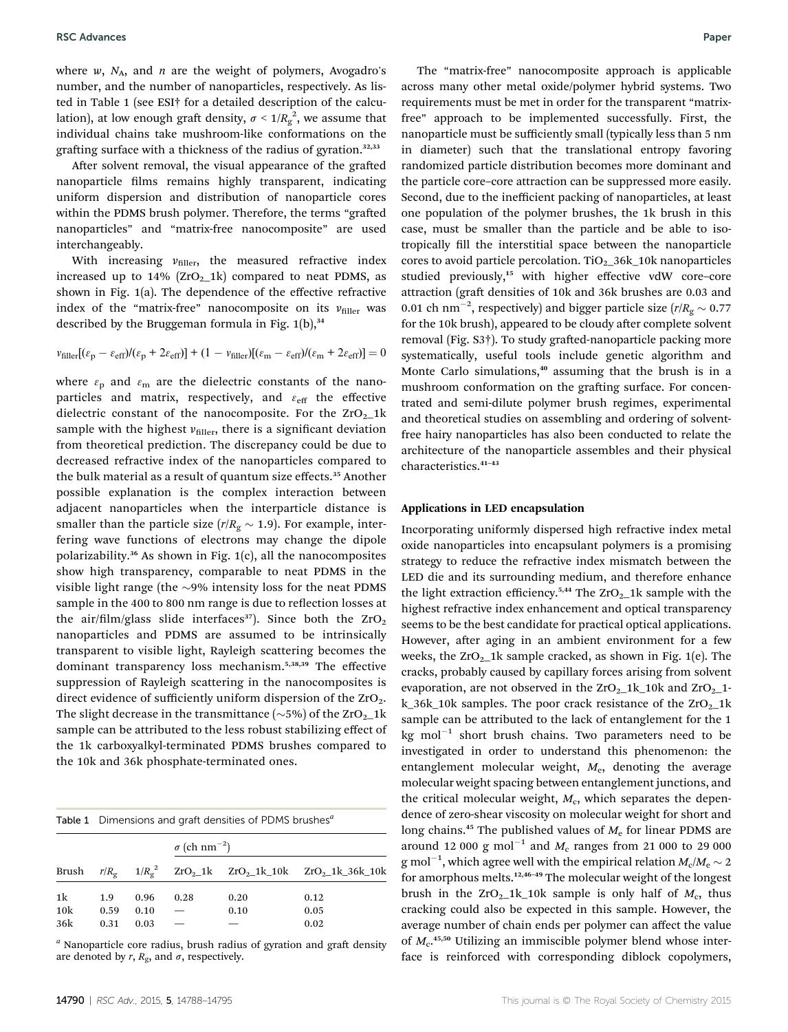where  $w$ ,  $N_A$ , and  $n$  are the weight of polymers, Avogadro's number, and the number of nanoparticles, respectively. As listed in Table 1 (see ESI† for a detailed description of the calculation), at low enough graft density,  $\sigma < 1/R_g^2$ , we assume that individual chains take mushroom-like conformations on the grafting surface with a thickness of the radius of gyration. $32,33$ 

After solvent removal, the visual appearance of the grafted nanoparticle films remains highly transparent, indicating uniform dispersion and distribution of nanoparticle cores within the PDMS brush polymer. Therefore, the terms "grafted nanoparticles" and "matrix-free nanocomposite" are used interchangeably.

With increasing  $v_{\text{filter}}$ , the measured refractive index increased up to  $14\%$  (ZrO<sub>2</sub>\_1k) compared to neat PDMS, as shown in Fig. 1(a). The dependence of the effective refractive index of the "matrix-free" nanocomposite on its  $v_{\text{filler}}$  was described by the Bruggeman formula in Fig.  $1(b)$ ,  $34$ 

$$
v_{\text{filler}}[(\varepsilon_{\text{p}} - \varepsilon_{\text{eff}})/(\varepsilon_{\text{p}} + 2\varepsilon_{\text{eff}})] + (1 - v_{\text{filler}})[(\varepsilon_{\text{m}} - \varepsilon_{\text{eff}})/(\varepsilon_{\text{m}} + 2\varepsilon_{\text{eff}})] = 0
$$

where  $\varepsilon_{\rm p}$  and  $\varepsilon_{\rm m}$  are the dielectric constants of the nanoparticles and matrix, respectively, and  $\varepsilon_{\rm eff}$  the effective dielectric constant of the nanocomposite. For the  $ZrO<sub>2</sub>1k$ sample with the highest  $v_{\text{filter}}$ , there is a significant deviation from theoretical prediction. The discrepancy could be due to decreased refractive index of the nanoparticles compared to the bulk material as a result of quantum size effects.<sup>35</sup> Another possible explanation is the complex interaction between adjacent nanoparticles when the interparticle distance is smaller than the particle size ( $r/R<sub>g</sub> \sim 1.9$ ). For example, interfering wave functions of electrons may change the dipole polarizability.<sup>36</sup> As shown in Fig. 1(c), all the nanocomposites show high transparency, comparable to neat PDMS in the visible light range (the  $\sim$ 9% intensity loss for the neat PDMS sample in the 400 to 800 nm range is due to reflection losses at the air/film/glass slide interfaces<sup>37</sup>). Since both the  $ZrO<sub>2</sub>$ nanoparticles and PDMS are assumed to be intrinsically transparent to visible light, Rayleigh scattering becomes the dominant transparency loss mechanism.5,38,39 The effective suppression of Rayleigh scattering in the nanocomposites is direct evidence of sufficiently uniform dispersion of the  $ZrO<sub>2</sub>$ . The slight decrease in the transmittance ( $\sim$ 5%) of the ZrO<sub>2</sub>\_1k sample can be attributed to the less robust stabilizing effect of the 1k carboxyalkyl-terminated PDMS brushes compared to the 10k and 36k phosphate-terminated ones.

|                  | Table 1 Dimensions and graft densities of PDMS brushes <sup>a</sup> |                      |                                 |              |                                                                                               |
|------------------|---------------------------------------------------------------------|----------------------|---------------------------------|--------------|-----------------------------------------------------------------------------------------------|
|                  |                                                                     |                      | $\sigma$ (ch nm <sup>-2</sup> ) |              |                                                                                               |
| Brush            |                                                                     |                      |                                 |              | $r/R_g$ 1/ $R_g^2$ ZrO <sub>2</sub> _1k ZrO <sub>2</sub> _1k_10k ZrO <sub>2</sub> _1k_36k_10k |
| 1k<br>10k<br>36k | 1.9<br>0.59<br>0.31                                                 | 0.96<br>0.10<br>0.03 | 0.28                            | 0.20<br>0.10 | 0.12<br>0.05<br>0.02                                                                          |

 $a$  Nanoparticle core radius, brush radius of gyration and graft density are denoted by r,  $R_g$ , and  $\sigma$ , respectively.

The "matrix-free" nanocomposite approach is applicable across many other metal oxide/polymer hybrid systems. Two requirements must be met in order for the transparent "matrixfree" approach to be implemented successfully. First, the nanoparticle must be sufficiently small (typically less than 5 nm in diameter) such that the translational entropy favoring randomized particle distribution becomes more dominant and the particle core–core attraction can be suppressed more easily. Second, due to the inefficient packing of nanoparticles, at least one population of the polymer brushes, the 1k brush in this case, must be smaller than the particle and be able to isotropically fill the interstitial space between the nanoparticle cores to avoid particle percolation.  $TiO<sub>2</sub>$  36k\_10k nanoparticles studied previously,<sup>15</sup> with higher effective vdW core-core attraction (graft densities of 10k and 36k brushes are 0.03 and 0.01 ch nm<sup>-2</sup>, respectively) and bigger particle size ( $r/R<sub>g</sub> \sim 0.77$ for the 10k brush), appeared to be cloudy after complete solvent removal (Fig. S3†). To study grafted-nanoparticle packing more systematically, useful tools include genetic algorithm and Monte Carlo simulations, $40$  assuming that the brush is in a mushroom conformation on the grafting surface. For concentrated and semi-dilute polymer brush regimes, experimental and theoretical studies on assembling and ordering of solventfree hairy nanoparticles has also been conducted to relate the architecture of the nanoparticle assembles and their physical characteristics.<sup>41-43</sup>

#### Applications in LED encapsulation

Incorporating uniformly dispersed high refractive index metal oxide nanoparticles into encapsulant polymers is a promising strategy to reduce the refractive index mismatch between the LED die and its surrounding medium, and therefore enhance the light extraction efficiency.<sup>5,44</sup> The  $ZrO<sub>2</sub>$  1k sample with the highest refractive index enhancement and optical transparency seems to be the best candidate for practical optical applications. However, after aging in an ambient environment for a few weeks, the  $ZrO<sub>2</sub>$  1k sample cracked, as shown in Fig. 1(e). The cracks, probably caused by capillary forces arising from solvent evaporation, are not observed in the  $ZrO<sub>2</sub>1k_10k$  and  $ZrO<sub>2</sub>1$ k\_36k\_10k samples. The poor crack resistance of the  $ZrO<sub>2</sub>$ \_1k sample can be attributed to the lack of entanglement for the 1 kg mol $^{-1}$  short brush chains. Two parameters need to be investigated in order to understand this phenomenon: the entanglement molecular weight,  $M_{\rm e}$ , denoting the average molecular weight spacing between entanglement junctions, and the critical molecular weight,  $M_c$ , which separates the dependence of zero-shear viscosity on molecular weight for short and long chains.<sup>45</sup> The published values of  $M_e$  for linear PDMS are around 12 000 g mol<sup>-1</sup> and  $M_c$  ranges from 21 000 to 29 000  ${\rm g\,mol}^{-1},$  which agree well with the empirical relation  $M_{\rm c}/M_{\rm e}\sim 2$ for amorphous melts.12,46–<sup>49</sup> The molecular weight of the longest brush in the  $ZrO_2_1k_10k$  sample is only half of  $M_c$ , thus cracking could also be expected in this sample. However, the average number of chain ends per polymer can affect the value of  $M_c$ .<sup>45,50</sup> Utilizing an immiscible polymer blend whose interface is reinforced with corresponding diblock copolymers,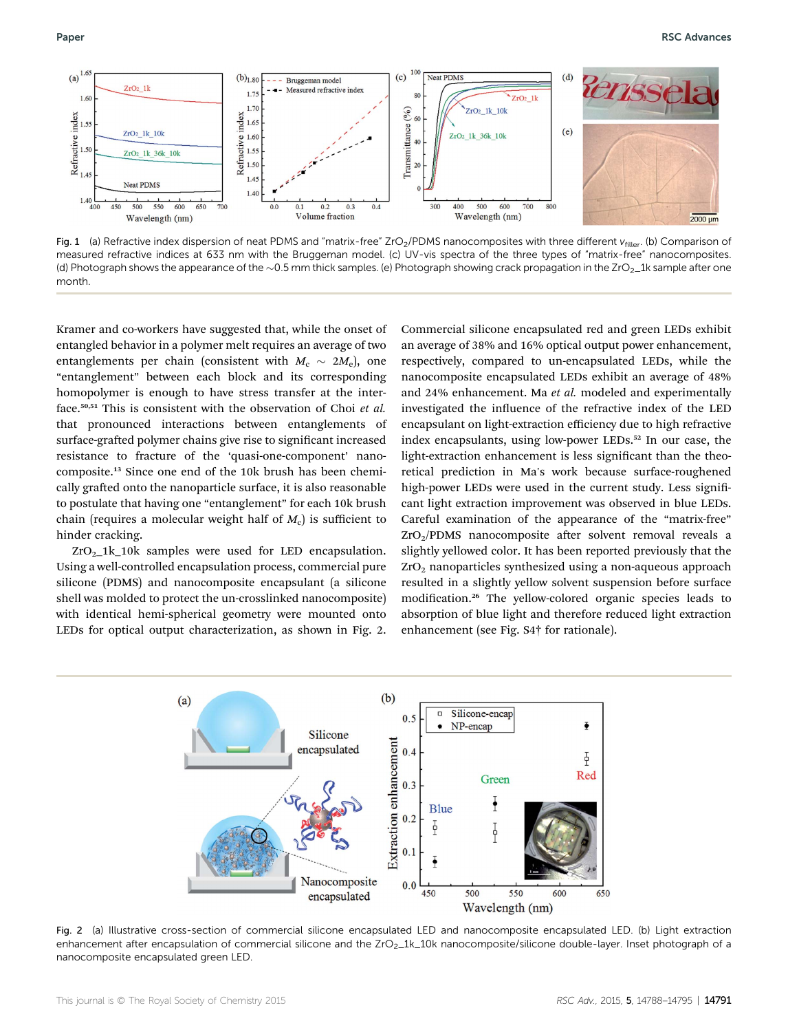

Fig. 1 (a) Refractive index dispersion of neat PDMS and "matrix-free" ZrO<sub>2</sub>/PDMS nanocomposites with three different  $v_{filter}$ . (b) Comparison of measured refractive indices at 633 nm with the Bruggeman model. (c) UV-vis spectra of the three types of "matrix-free" nanocomposites. (d) Photograph shows the appearance of the  $\sim$  0.5 mm thick samples. (e) Photograph showing crack propagation in the ZrO<sub>2</sub>\_1k sample after one month.

Kramer and co-workers have suggested that, while the onset of entangled behavior in a polymer melt requires an average of two entanglements per chain (consistent with  $M_c \sim 2M_e$ ), one "entanglement" between each block and its corresponding homopolymer is enough to have stress transfer at the interface.<sup>50,51</sup> This is consistent with the observation of Choi et al. that pronounced interactions between entanglements of surface-grafted polymer chains give rise to significant increased resistance to fracture of the 'quasi-one-component' nanocomposite.<sup>13</sup> Since one end of the 10k brush has been chemically grafted onto the nanoparticle surface, it is also reasonable to postulate that having one "entanglement" for each 10k brush chain (requires a molecular weight half of  $M_c$ ) is sufficient to hinder cracking.

 $ZrO<sub>2</sub>1k_10k$  samples were used for LED encapsulation. Using a well-controlled encapsulation process, commercial pure silicone (PDMS) and nanocomposite encapsulant (a silicone shell was molded to protect the un-crosslinked nanocomposite) with identical hemi-spherical geometry were mounted onto LEDs for optical output characterization, as shown in Fig. 2.

Commercial silicone encapsulated red and green LEDs exhibit an average of 38% and 16% optical output power enhancement, respectively, compared to un-encapsulated LEDs, while the nanocomposite encapsulated LEDs exhibit an average of 48% and 24% enhancement. Ma et al. modeled and experimentally investigated the influence of the refractive index of the LED encapsulant on light-extraction efficiency due to high refractive index encapsulants, using low-power LEDs.<sup>52</sup> In our case, the light-extraction enhancement is less significant than the theoretical prediction in Ma's work because surface-roughened high-power LEDs were used in the current study. Less significant light extraction improvement was observed in blue LEDs. Careful examination of the appearance of the "matrix-free"  $ZrO<sub>2</sub>/PDMS$  nanocomposite after solvent removal reveals a slightly yellowed color. It has been reported previously that the  $ZrO<sub>2</sub>$  nanoparticles synthesized using a non-aqueous approach resulted in a slightly yellow solvent suspension before surface modification.<sup>26</sup> The yellow-colored organic species leads to absorption of blue light and therefore reduced light extraction enhancement (see Fig. S4† for rationale).



Fig. 2 (a) Illustrative cross-section of commercial silicone encapsulated LED and nanocomposite encapsulated LED. (b) Light extraction enhancement after encapsulation of commercial silicone and the ZrO<sub>2</sub>\_1k\_10k nanocomposite/silicone double-layer. Inset photograph of a nanocomposite encapsulated green LED.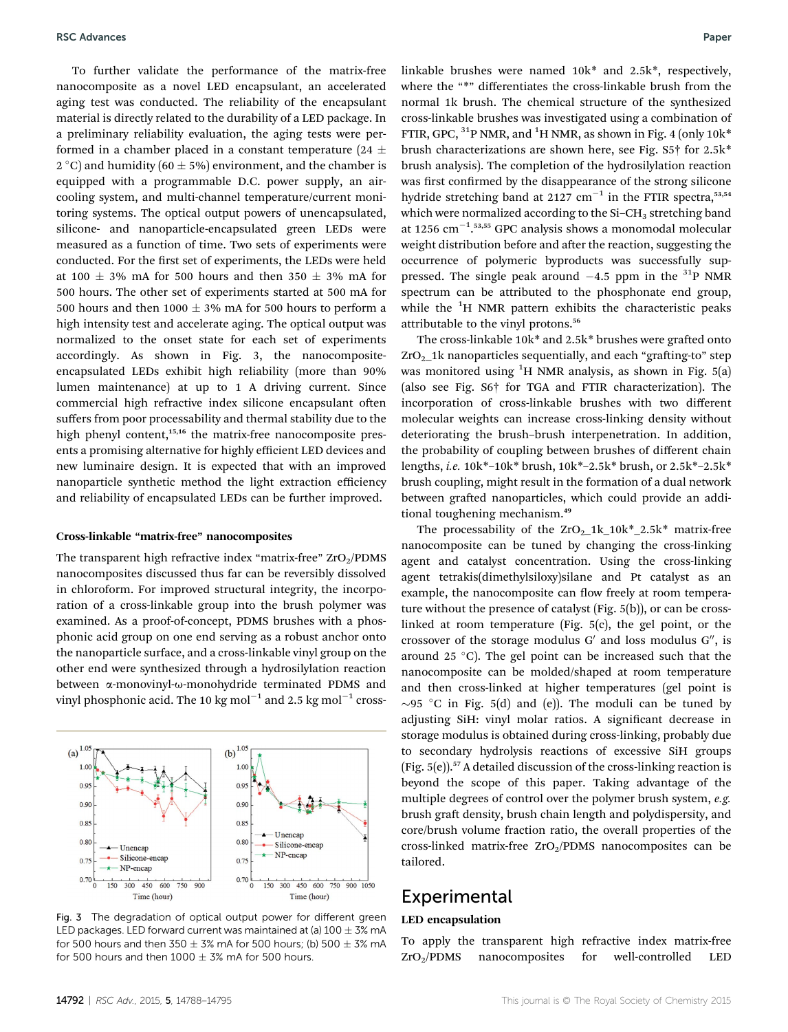To further validate the performance of the matrix-free nanocomposite as a novel LED encapsulant, an accelerated aging test was conducted. The reliability of the encapsulant material is directly related to the durability of a LED package. In a preliminary reliability evaluation, the aging tests were performed in a chamber placed in a constant temperature (24  $\pm$  $2^{\circ}$ C) and humidity (60  $\pm$  5%) environment, and the chamber is equipped with a programmable D.C. power supply, an aircooling system, and multi-channel temperature/current monitoring systems. The optical output powers of unencapsulated, silicone- and nanoparticle-encapsulated green LEDs were measured as a function of time. Two sets of experiments were conducted. For the first set of experiments, the LEDs were held at 100  $\pm$  3% mA for 500 hours and then 350  $\pm$  3% mA for 500 hours. The other set of experiments started at 500 mA for 500 hours and then 1000  $\pm$  3% mA for 500 hours to perform a high intensity test and accelerate aging. The optical output was normalized to the onset state for each set of experiments accordingly. As shown in Fig. 3, the nanocompositeencapsulated LEDs exhibit high reliability (more than 90% lumen maintenance) at up to 1 A driving current. Since commercial high refractive index silicone encapsulant often suffers from poor processability and thermal stability due to the high phenyl content,<sup>15,16</sup> the matrix-free nanocomposite presents a promising alternative for highly efficient LED devices and new luminaire design. It is expected that with an improved nanoparticle synthetic method the light extraction efficiency and reliability of encapsulated LEDs can be further improved.

#### Cross-linkable "matrix-free" nanocomposites

The transparent high refractive index "matrix-free"  $ZrO_2/PDMS$ nanocomposites discussed thus far can be reversibly dissolved in chloroform. For improved structural integrity, the incorporation of a cross-linkable group into the brush polymer was examined. As a proof-of-concept, PDMS brushes with a phosphonic acid group on one end serving as a robust anchor onto the nanoparticle surface, and a cross-linkable vinyl group on the other end were synthesized through a hydrosilylation reaction between a-monovinyl-u-monohydride terminated PDMS and vinyl phosphonic acid. The 10 kg mol $^{-1}$  and 2.5 kg mol $^{-1}$  cross-



Fig. 3 The degradation of optical output power for different green LED packages. LED forward current was maintained at (a)  $100 \pm 3\%$  mA for 500 hours and then  $350 \pm 3\%$  mA for 500 hours; (b)  $500 \pm 3\%$  mA for 500 hours and then  $1000 \pm 3\%$  mA for 500 hours.

linkable brushes were named 10k\* and 2.5k\*, respectively, where the "\*" differentiates the cross-linkable brush from the normal 1k brush. The chemical structure of the synthesized cross-linkable brushes was investigated using a combination of FTIR, GPC, <sup>31</sup>P NMR, and <sup>1</sup>H NMR, as shown in Fig. 4 (only 10k<sup>\*</sup> brush characterizations are shown here, see Fig. S5† for 2.5k\* brush analysis). The completion of the hydrosilylation reaction was first confirmed by the disappearance of the strong silicone hydride stretching band at 2127  $cm^{-1}$  in the FTIR spectra,<sup>53,54</sup> which were normalized according to the  $Si-CH_3$  stretching band at 1256  $\text{cm}^{-1}$ .<sup>53,55</sup> GPC analysis shows a monomodal molecular weight distribution before and after the reaction, suggesting the occurrence of polymeric byproducts was successfully suppressed. The single peak around  $-4.5$  ppm in the <sup>31</sup>P NMR spectrum can be attributed to the phosphonate end group, while the  ${}^{1}H$  NMR pattern exhibits the characteristic peaks attributable to the vinyl protons.<sup>56</sup>

The cross-linkable  $10k^*$  and  $2.5k^*$  brushes were grafted onto  $ZrO<sub>2</sub>1k$  nanoparticles sequentially, and each "grafting-to" step was monitored using  ${}^{1}H$  NMR analysis, as shown in Fig. 5(a) (also see Fig. S6† for TGA and FTIR characterization). The incorporation of cross-linkable brushes with two different molecular weights can increase cross-linking density without deteriorating the brush–brush interpenetration. In addition, the probability of coupling between brushes of different chain lengths, i.e. 10k\*–10k\* brush, 10k\*–2.5k\* brush, or 2.5k\*–2.5k\* brush coupling, might result in the formation of a dual network between grafted nanoparticles, which could provide an additional toughening mechanism.<sup>49</sup>

The processability of the  $ZrO<sub>2</sub>1k_10k^*_{2.5k^*}$  matrix-free nanocomposite can be tuned by changing the cross-linking agent and catalyst concentration. Using the cross-linking agent tetrakis(dimethylsiloxy)silane and Pt catalyst as an example, the nanocomposite can flow freely at room temperature without the presence of catalyst (Fig. 5(b)), or can be crosslinked at room temperature (Fig. 5(c), the gel point, or the crossover of the storage modulus  $G'$  and loss modulus  $G''$ , is around 25  $^{\circ}$ C). The gel point can be increased such that the nanocomposite can be molded/shaped at room temperature and then cross-linked at higher temperatures (gel point is  $\sim$ 95 °C in Fig. 5(d) and (e)). The moduli can be tuned by adjusting SiH: vinyl molar ratios. A significant decrease in storage modulus is obtained during cross-linking, probably due to secondary hydrolysis reactions of excessive SiH groups (Fig.  $5(e)$ ).<sup>57</sup> A detailed discussion of the cross-linking reaction is beyond the scope of this paper. Taking advantage of the multiple degrees of control over the polymer brush system, e.g. brush graft density, brush chain length and polydispersity, and core/brush volume fraction ratio, the overall properties of the cross-linked matrix-free  $ZrO<sub>2</sub>/PDMS$  nanocomposites can be tailored.

# **Experimental**

### LED encapsulation

To apply the transparent high refractive index matrix-free  $ZrO<sub>2</sub>/PDMS$  nanocomposites for well-controlled LED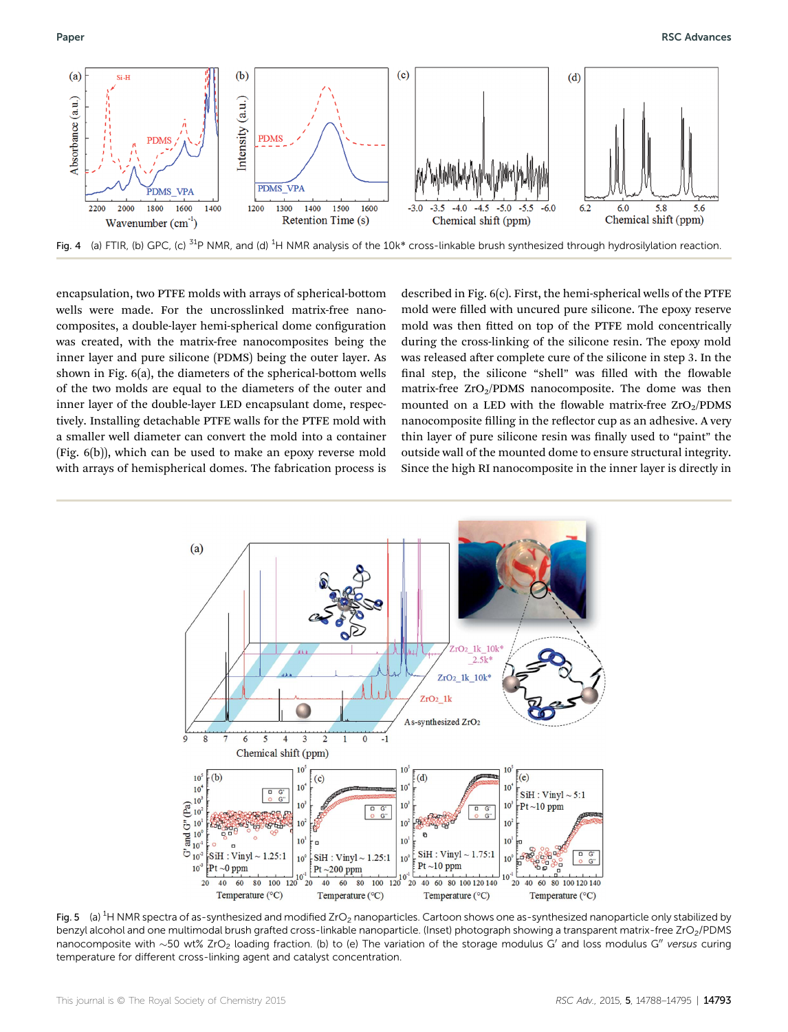

encapsulation, two PTFE molds with arrays of spherical-bottom wells were made. For the uncrosslinked matrix-free nanocomposites, a double-layer hemi-spherical dome configuration was created, with the matrix-free nanocomposites being the inner layer and pure silicone (PDMS) being the outer layer. As shown in Fig. 6(a), the diameters of the spherical-bottom wells of the two molds are equal to the diameters of the outer and inner layer of the double-layer LED encapsulant dome, respectively. Installing detachable PTFE walls for the PTFE mold with a smaller well diameter can convert the mold into a container (Fig. 6(b)), which can be used to make an epoxy reverse mold with arrays of hemispherical domes. The fabrication process is

described in Fig. 6(c). First, the hemi-spherical wells of the PTFE mold were filled with uncured pure silicone. The epoxy reserve mold was then fitted on top of the PTFE mold concentrically during the cross-linking of the silicone resin. The epoxy mold was released after complete cure of the silicone in step 3. In the final step, the silicone "shell" was filled with the flowable matrix-free  $ZrO<sub>2</sub>/PDMS$  nanocomposite. The dome was then mounted on a LED with the flowable matrix-free  $ZrO_2/PDMS$ nanocomposite filling in the reflector cup as an adhesive. A very thin layer of pure silicone resin was finally used to "paint" the outside wall of the mounted dome to ensure structural integrity. Since the high RI nanocomposite in the inner layer is directly in



Fig. 5  $\,$  (a)  $^{1}$ H NMR spectra of as-synthesized and modified ZrO<sub>2</sub> nanoparticles. Cartoon shows one as-synthesized nanoparticle only stabilized by benzyl alcohol and one multimodal brush grafted cross-linkable nanoparticle. (Inset) photograph showing a transparent matrix-free ZrO<sub>2</sub>/PDMS nanocomposite with  $\sim$ 50 wt% ZrO<sub>2</sub> loading fraction. (b) to (e) The variation of the storage modulus G' and loss modulus G" versus curing temperature for different cross-linking agent and catalyst concentration.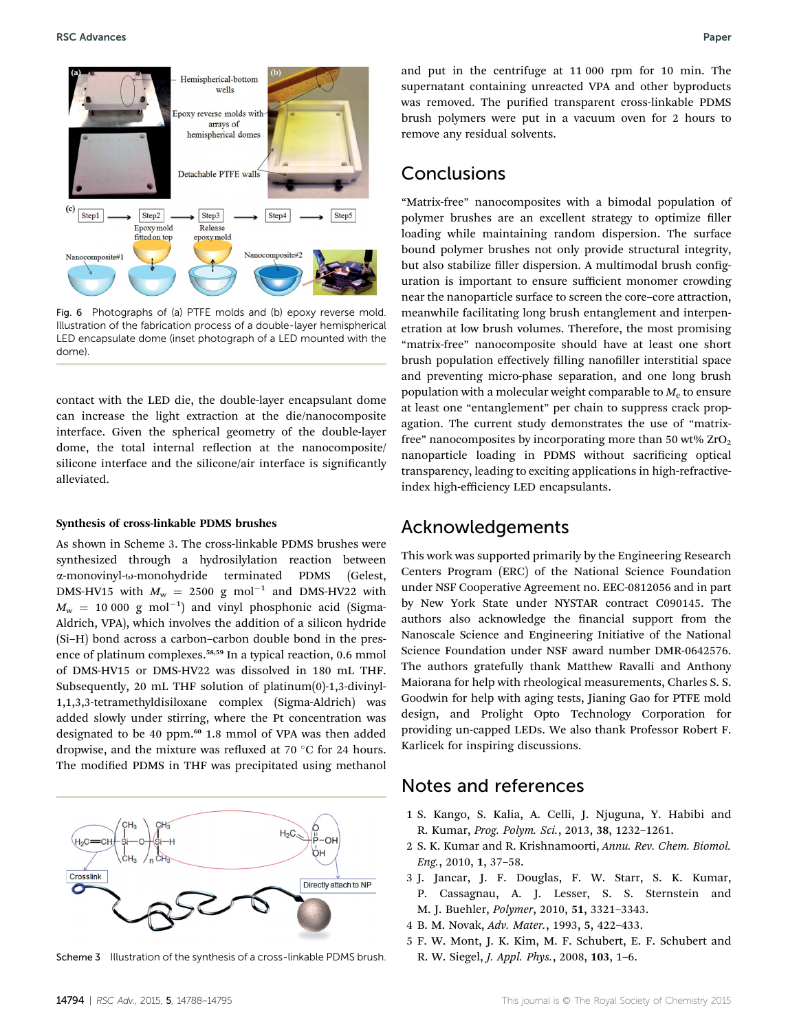

Fig. 6 Photographs of (a) PTFE molds and (b) epoxy reverse mold. Illustration of the fabrication process of a double-layer hemispherical LED encapsulate dome (inset photograph of a LED mounted with the dome).

contact with the LED die, the double-layer encapsulant dome can increase the light extraction at the die/nanocomposite interface. Given the spherical geometry of the double-layer dome, the total internal reflection at the nanocomposite/ silicone interface and the silicone/air interface is significantly alleviated.

#### Synthesis of cross-linkable PDMS brushes

As shown in Scheme 3. The cross-linkable PDMS brushes were synthesized through a hydrosilylation reaction between a-monovinyl-u-monohydride terminated PDMS (Gelest, DMS-HV15 with  $M_w = 2500$  g mol<sup>-1</sup> and DMS-HV22 with  $M_{\rm w}$  = 10 000 g mol $^{-1}$ ) and vinyl phosphonic acid (Sigma-Aldrich, VPA), which involves the addition of a silicon hydride (Si–H) bond across a carbon–carbon double bond in the presence of platinum complexes.<sup>58,59</sup> In a typical reaction, 0.6 mmol of DMS-HV15 or DMS-HV22 was dissolved in 180 mL THF. Subsequently, 20 mL THF solution of platinum(0)-1,3-divinyl-1,1,3,3-tetramethyldisiloxane complex (Sigma-Aldrich) was added slowly under stirring, where the Pt concentration was designated to be 40 ppm.<sup>60</sup> 1.8 mmol of VPA was then added dropwise, and the mixture was refluxed at 70  $\degree$ C for 24 hours. The modified PDMS in THF was precipitated using methanol



Scheme 3 Illustration of the synthesis of a cross-linkable PDMS brush.

and put in the centrifuge at 11 000 rpm for 10 min. The supernatant containing unreacted VPA and other byproducts was removed. The purified transparent cross-linkable PDMS brush polymers were put in a vacuum oven for 2 hours to remove any residual solvents.

## Conclusions

"Matrix-free" nanocomposites with a bimodal population of polymer brushes are an excellent strategy to optimize filler loading while maintaining random dispersion. The surface bound polymer brushes not only provide structural integrity, but also stabilize filler dispersion. A multimodal brush configuration is important to ensure sufficient monomer crowding near the nanoparticle surface to screen the core–core attraction, meanwhile facilitating long brush entanglement and interpenetration at low brush volumes. Therefore, the most promising "matrix-free" nanocomposite should have at least one short brush population effectively filling nanofiller interstitial space and preventing micro-phase separation, and one long brush population with a molecular weight comparable to  $M<sub>e</sub>$  to ensure at least one "entanglement" per chain to suppress crack propagation. The current study demonstrates the use of "matrixfree" nanocomposites by incorporating more than 50 wt%  $ZrO<sub>2</sub>$ nanoparticle loading in PDMS without sacrificing optical transparency, leading to exciting applications in high-refractiveindex high-efficiency LED encapsulants.

### Acknowledgements

This work was supported primarily by the Engineering Research Centers Program (ERC) of the National Science Foundation under NSF Cooperative Agreement no. EEC-0812056 and in part by New York State under NYSTAR contract C090145. The authors also acknowledge the financial support from the Nanoscale Science and Engineering Initiative of the National Science Foundation under NSF award number DMR-0642576. The authors gratefully thank Matthew Ravalli and Anthony Maiorana for help with rheological measurements, Charles S. S. Goodwin for help with aging tests, Jianing Gao for PTFE mold design, and Prolight Opto Technology Corporation for providing un-capped LEDs. We also thank Professor Robert F. Karlicek for inspiring discussions.

## Notes and references

- 1 S. Kango, S. Kalia, A. Celli, J. Njuguna, Y. Habibi and R. Kumar, Prog. Polym. Sci., 2013, 38, 1232–1261.
- 2 S. K. Kumar and R. Krishnamoorti, Annu. Rev. Chem. Biomol. Eng., 2010, 1, 37–58.
- 3 J. Jancar, J. F. Douglas, F. W. Starr, S. K. Kumar, P. Cassagnau, A. J. Lesser, S. S. Sternstein and M. J. Buehler, Polymer, 2010, 51, 3321–3343.
- 4 B. M. Novak, Adv. Mater., 1993, 5, 422–433.
- 5 F. W. Mont, J. K. Kim, M. F. Schubert, E. F. Schubert and R. W. Siegel, J. Appl. Phys., 2008, 103, 1–6.